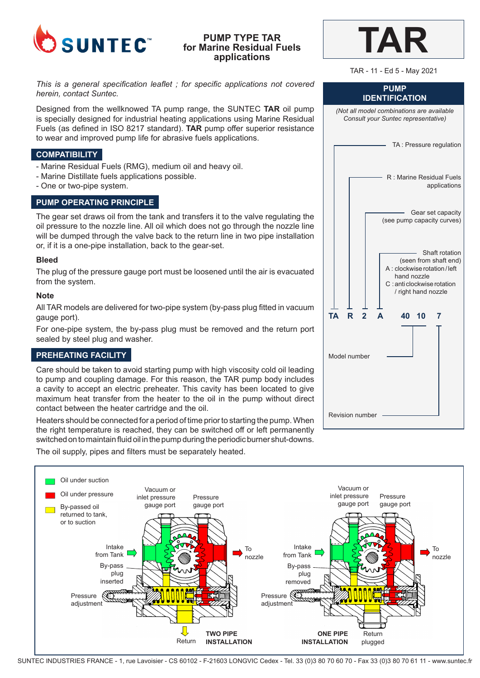

# **PUMP TYPE TAR for Marine Residual Fuels applications**

*This is a general specification leaflet ; for specific applications not covered herein, contact Suntec.*

Designed from the wellknowed TA pump range, the SUNTEC **TAR** oil pump is specially designed for industrial heating applications using Marine Residual Fuels (as defined in ISO 8217 standard). **TAR** pump offer superior resistance to wear and improved pump life for abrasive fuels applications.

# **COMPATIBILITY**

- Marine Residual Fuels (RMG), medium oil and heavy oil.
- Marine Distillate fuels applications possible.
- One or two-pipe system.

# **PUMP OPERATING PRINCIPLE**

The gear set draws oil from the tank and transfers it to the valve regulating the oil pressure to the nozzle line. All oil which does not go through the nozzle line will be dumped through the valve back to the return line in two pipe installation or, if it is a one-pipe installation, back to the gear-set.

### **Bleed**

The plug of the pressure gauge port must be loosened until the air is evacuated from the system.

## **Note**

All TAR models are delivered for two-pipe system (by-pass plug fitted in vacuum gauge port).

For one-pipe system, the by-pass plug must be removed and the return port sealed by steel plug and washer.

# **PREHEATING FACILITY**

Care should be taken to avoid starting pump with high viscosity cold oil leading to pump and coupling damage. For this reason, the TAR pump body includes a cavity to accept an electric preheater. This cavity has been located to give maximum heat transfer from the heater to the oil in the pump without direct contact between the heater cartridge and the oil.

Heaters should be connected for a period of time prior to starting the pump. When the right temperature is reached, they can be switched off or left permanently switched on to maintain fluid oil in the pump during the periodic burner shut-downs.

The oil supply, pipes and filters must be separately heated.



| L | k. |  |
|---|----|--|
|   |    |  |

TAR - 11 - Ed 5 - May 2021